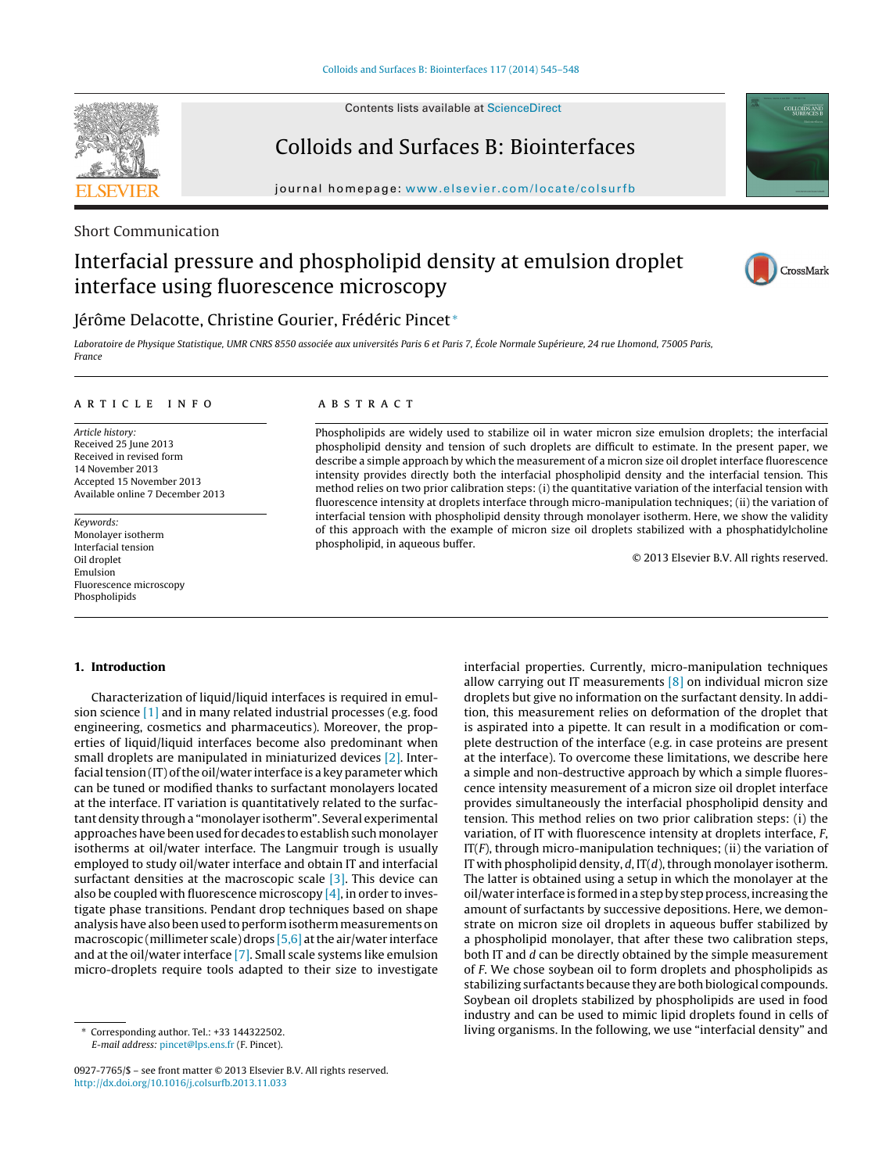**SEVIER** 

Contents lists available at [ScienceDirect](http://www.sciencedirect.com/science/journal/09277765)

# Colloids and Surfaces B: Biointerfaces

iournal homepage: [www.elsevier.com/locate/colsurfb](http://www.elsevier.com/locate/colsurfb)

Short Communication

# Interfacial pressure and phospholipid density at emulsion droplet interface using fluorescence microscopy



**COLLOIDS AND**<br>SURFACES B

# Jérôme Delacotte, Christine Gourier, Frédéric Pincet <sup>∗</sup>

Laboratoire de Physique Statistique, UMR CNRS 8550 associée aux universités Paris 6 et Paris 7, École Normale Supérieure, 24 rue Lhomond, 75005 Paris, France

# a r t i c l e i n f o

Article history: Received 25 June 2013 Received in revised form 14 November 2013 Accepted 15 November 2013 Available online 7 December 2013

Keywords: Monolayer isotherm Interfacial tension Oil droplet Emulsion Fluorescence microscopy Phospholipids

# A B S T R A C T

Phospholipids are widely used to stabilize oil in water micron size emulsion droplets; the interfacial phospholipid density and tension of such droplets are difficult to estimate. In the present paper, we describe a simple approach by which the measurement of a micron size oil droplet interface fluorescence intensity provides directly both the interfacial phospholipid density and the interfacial tension. This method relies on two prior calibration steps: (i) the quantitative variation of the interfacial tension with fluorescence intensity at droplets interface through micro-manipulation techniques; (ii) the variation of interfacial tension with phospholipid density through monolayer isotherm. Here, we show the validity of this approach with the example of micron size oil droplets stabilized with a phosphatidylcholine phospholipid, in aqueous buffer.

© 2013 Elsevier B.V. All rights reserved.

### **1. Introduction**

Characterization of liquid/liquid interfaces is required in emulsion science [\[1\]](#page-3-0) and in many related industrial processes (e.g. food engineering, cosmetics and pharmaceutics). Moreover, the properties of liquid/liquid interfaces become also predominant when small droplets are manipulated in miniaturized devices [\[2\].](#page-3-0) Interfacial tension  $(IT)$  of the oil/water interface is a key parameter which can be tuned or modified thanks to surfactant monolayers located at the interface. IT variation is quantitatively related to the surfactant density through a "monolayer isotherm". Several experimental approaches have been used for decades to establish such monolayer isotherms at oil/water interface. The Langmuir trough is usually employed to study oil/water interface and obtain IT and interfacial surfactant densities at the macroscopic scale [\[3\].](#page-3-0) This device can also be coupled with fluorescence microscopy  $[4]$ , in order to investigate phase transitions. Pendant drop techniques based on shape analysis have also been used to performisothermmeasurements on macroscopic (millimeter scale) drops [\[5,6\]](#page-3-0) at the air/water interface and at the oil/water interface [\[7\].](#page-3-0) Small scale systems like emulsion micro-droplets require tools adapted to their size to investigate

interfacial properties. Currently, micro-manipulation techniques allow carrying out IT measurements  $[8]$  on individual micron size droplets but give no information on the surfactant density. In addition, this measurement relies on deformation of the droplet that is aspirated into a pipette. It can result in a modification or complete destruction of the interface (e.g. in case proteins are present at the interface). To overcome these limitations, we describe here a simple and non-destructive approach by which a simple fluorescence intensity measurement of a micron size oil droplet interface provides simultaneously the interfacial phospholipid density and tension. This method relies on two prior calibration steps: (i) the variation, of IT with fluorescence intensity at droplets interface, F,  $IT(F)$ , through micro-manipulation techniques; (ii) the variation of IT with phospholipid density,  $d$ , IT( $d$ ), through monolayer isotherm. The latter is obtained using a setup in which the monolayer at the oil/water interface is formed in a step by step process, increasing the amount of surfactants by successive depositions. Here, we demonstrate on micron size oil droplets in aqueous buffer stabilized by a phospholipid monolayer, that after these two calibration steps, both IT and d can be directly obtained by the simple measurement of F. We chose soybean oil to form droplets and phospholipids as stabilizing surfactants because they are both biological compounds. Soybean oil droplets stabilized by phospholipids are used in food industry and can be used to mimic lipid droplets found in cells of living organisms. In the following, we use "interfacial density" and

<sup>∗</sup> Corresponding author. Tel.: +33 144322502. E-mail address: [pincet@lps.ens.fr](mailto:pincet@lps.ens.fr) (F. Pincet).

<sup>0927-7765/\$</sup> – see front matter © 2013 Elsevier B.V. All rights reserved. [http://dx.doi.org/10.1016/j.colsurfb.2013.11.033](dx.doi.org/10.1016/j.colsurfb.2013.11.033)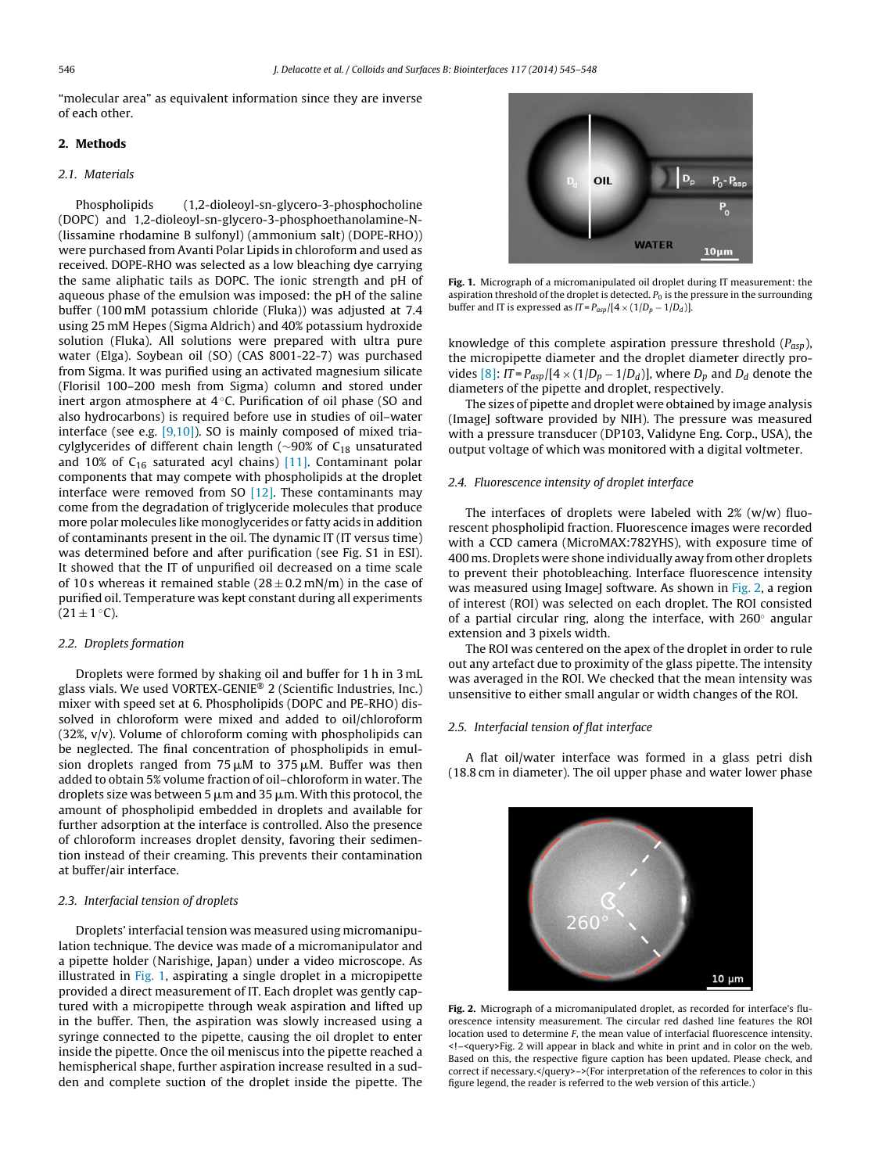<span id="page-1-0"></span>"molecular area" as equivalent information since they are inverse of each other.

### **2. Methods**

#### 2.1. Materials

Phospholipids (1,2-dioleoyl-sn-glycero-3-phosphocholine (DOPC) and 1,2-dioleoyl-sn-glycero-3-phosphoethanolamine-N- (lissamine rhodamine B sulfonyl) (ammonium salt) (DOPE-RHO)) were purchased from Avanti Polar Lipids in chloroform and used as received. DOPE-RHO was selected as a low bleaching dye carrying the same aliphatic tails as DOPC. The ionic strength and pH of aqueous phase of the emulsion was imposed: the pH of the saline buffer (100 mM potassium chloride (Fluka)) was adjusted at 7.4 using 25 mM Hepes (Sigma Aldrich) and 40% potassium hydroxide solution (Fluka). All solutions were prepared with ultra pure water (Elga). Soybean oil (SO) (CAS 8001-22-7) was purchased from Sigma. It was purified using an activated magnesium silicate (Florisil 100–200 mesh from Sigma) column and stored under inert argon atmosphere at 4 ◦C. Purification of oil phase (SO and also hydrocarbons) is required before use in studies of oil–water interface (see e.g.  $[9,10]$ ). SO is mainly composed of mixed triacylglycerides of different chain length ( $\sim$ 90% of C<sub>18</sub> unsaturated and 10% of  $C_{16}$  saturated acyl chains) [\[11\].](#page-3-0) Contaminant polar components that may compete with phospholipids at the droplet interface were removed from SO  $[12]$ . These contaminants may come from the degradation of triglyceride molecules that produce more polar molecules like monoglycerides or fatty acids in addition of contaminants present in the oil. The dynamic IT (IT versus time) was determined before and after purification (see Fig. S1 in ESI). It showed that the IT of unpurified oil decreased on a time scale of 10 s whereas it remained stable  $(28 \pm 0.2 \text{ mN/m})$  in the case of purified oil. Temperature was kept constant during all experiments  $(21 \pm 1 \degree C).$ 

### 2.2. Droplets formation

Droplets were formed by shaking oil and buffer for 1 h in 3 mL glass vials. We used VORTEX-GENIE® 2 (Scientific Industries, Inc.) mixer with speed set at 6. Phospholipids (DOPC and PE-RHO) dissolved in chloroform were mixed and added to oil/chloroform (32%, v/v). Volume of chloroform coming with phospholipids can be neglected. The final concentration of phospholipids in emulsion droplets ranged from 75 $\mu$ M to 375 $\mu$ M. Buffer was then added to obtain 5% volume fraction of oil–chloroform in water. The droplets size was between 5  $\upmu$ m and 35  $\upmu$ m. With this protocol, the amount of phospholipid embedded in droplets and available for further adsorption at the interface is controlled. Also the presence of chloroform increases droplet density, favoring their sedimention instead of their creaming. This prevents their contamination at buffer/air interface.

# 2.3. Interfacial tension of droplets

Droplets' interfacial tension was measured using micromanipulation technique. The device was made of a micromanipulator and a pipette holder (Narishige, Japan) under a video microscope. As illustrated in Fig. 1, aspirating a single droplet in a micropipette provided a direct measurement of IT. Each droplet was gently captured with a micropipette through weak aspiration and lifted up in the buffer. Then, the aspiration was slowly increased using a syringe connected to the pipette, causing the oil droplet to enter inside the pipette. Once the oil meniscus into the pipette reached a hemispherical shape, further aspiration increase resulted in a sudden and complete suction of the droplet inside the pipette. The



**Fig. 1.** Micrograph of a micromanipulated oil droplet during IT measurement: the aspiration threshold of the droplet is detected.  $P_0$  is the pressure in the surrounding buffer and IT is expressed as  $IT = P_{asp}/[4 \times (1/D_p - 1/D_d)].$ 

knowledge of this complete aspiration pressure threshold  $(P_{asp})$ , the micropipette diameter and the droplet diameter directly pro-vides [\[8\]:](#page-3-0)  $IT = P_{asp}/[4 \times (1/D_p - 1/D_d)]$ , where  $D_p$  and  $D_d$  denote the diameters of the pipette and droplet, respectively.

The sizes of pipette and droplet were obtained by image analysis (ImageJ software provided by NIH). The pressure was measured with a pressure transducer (DP103, Validyne Eng. Corp., USA), the output voltage of which was monitored with a digital voltmeter.

# 2.4. Fluorescence intensity of droplet interface

The interfaces of droplets were labeled with 2% (w/w) fluorescent phospholipid fraction. Fluorescence images were recorded with a CCD camera (MicroMAX:782YHS), with exposure time of 400 ms. Droplets were shone individually away from other droplets to prevent their photobleaching. Interface fluorescence intensity was measured using ImageJ software. As shown in Fig. 2, a region of interest (ROI) was selected on each droplet. The ROI consisted of a partial circular ring, along the interface, with  $260°$  angular extension and 3 pixels width.

The ROI was centered on the apex of the droplet in order to rule out any artefact due to proximity of the glass pipette. The intensity was averaged in the ROI. We checked that the mean intensity was unsensitive to either small angular or width changes of the ROI.

### 2.5. Interfacial tension of flat interface

A flat oil/water interface was formed in a glass petri dish (18.8 cm in diameter). The oil upper phase and water lower phase



**Fig. 2.** Micrograph of a micromanipulated droplet, as recorded for interface's fluorescence intensity measurement. The circular red dashed line features the ROI location used to determine F, the mean value of interfacial fluorescence intensity. <!–<query>Fig. 2 will appear in black and white in print and in color on the web. Based on this, the respective figure caption has been updated. Please check, and correct if necessary.</query>–>(For interpretation of the references to color in this figure legend, the reader is referred to the web version of this article.)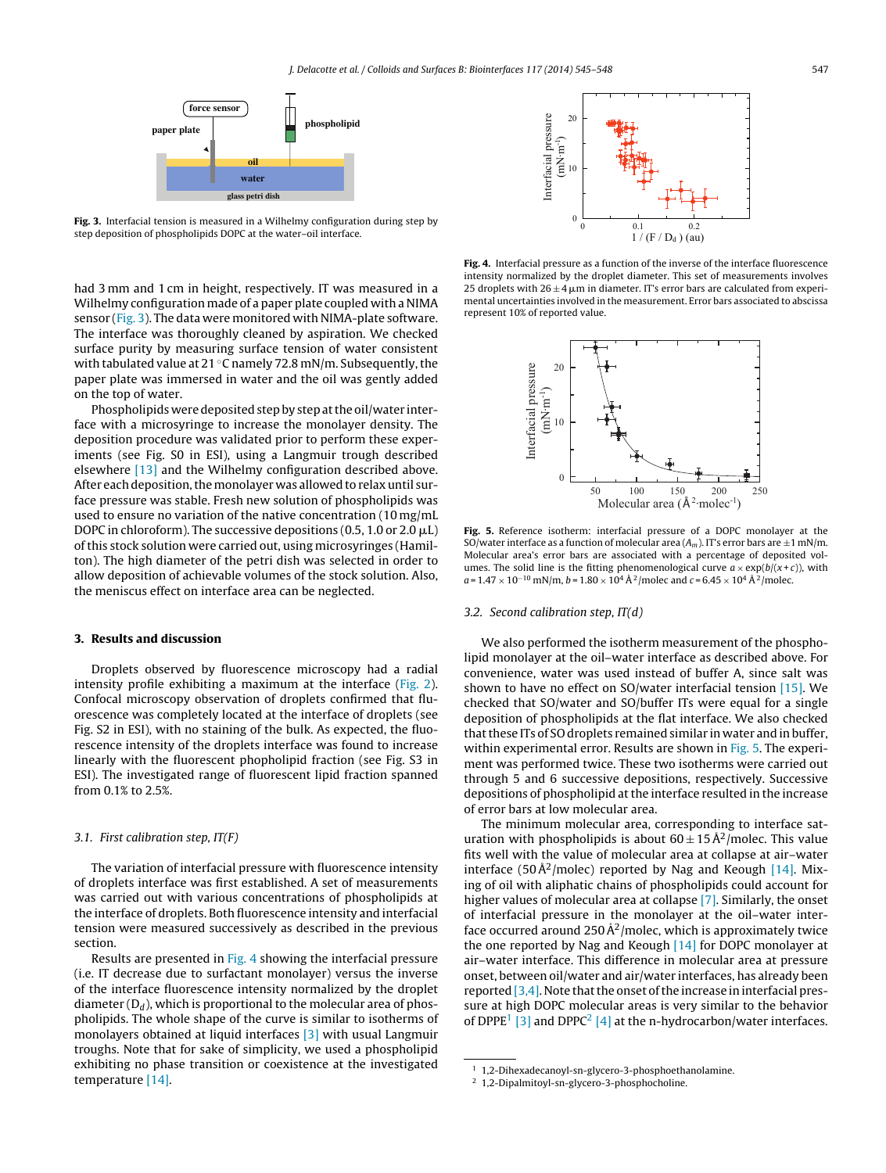<span id="page-2-0"></span>

**Fig. 3.** Interfacial tension is measured in a Wilhelmy configuration during step by step deposition of phospholipids DOPC at the water–oil interface.

had 3 mm and 1 cm in height, respectively. IT was measured in a Wilhelmy configuration made of a paper plate coupled with a NIMA sensor (Fig. 3). The data were monitored with NIMA-plate software. The interface was thoroughly cleaned by aspiration. We checked surface purity by measuring surface tension of water consistent with tabulated value at  $21 °C$  namely 72.8 mN/m. Subsequently, the paper plate was immersed in water and the oil was gently added on the top of water.

Phospholipids were deposited step by step at the oil/water interface with a microsyringe to increase the monolayer density. The deposition procedure was validated prior to perform these experiments (see Fig. S0 in ESI), using a Langmuir trough described elsewhere [\[13\]](#page-3-0) and the Wilhelmy configuration described above. After each deposition, the monolayer was allowed to relax until surface pressure was stable. Fresh new solution of phospholipids was used to ensure no variation of the native concentration (10 mg/mL DOPC in chloroform). The successive depositions (0.5, 1.0 or 2.0  $\mu$ L) ofthis stock solution were carried out, using microsyringes (Hamilton). The high diameter of the petri dish was selected in order to allow deposition of achievable volumes of the stock solution. Also, the meniscus effect on interface area can be neglected.

#### **3. Results and discussion**

Droplets observed by fluorescence microscopy had a radial intensity profile exhibiting a maximum at the interface ([Fig.](#page-1-0) 2). Confocal microscopy observation of droplets confirmed that fluorescence was completely located at the interface of droplets (see Fig. S2 in ESI), with no staining of the bulk. As expected, the fluorescence intensity of the droplets interface was found to increase linearly with the fluorescent phopholipid fraction (see Fig. S3 in ESI). The investigated range of fluorescent lipid fraction spanned from 0.1% to 2.5%.

#### 3.1. First calibration step, IT(F)

The variation of interfacial pressure with fluorescence intensity of droplets interface was first established. A set of measurements was carried out with various concentrations of phospholipids at the interface of droplets. Both fluorescence intensity and interfacial tension were measured successively as described in the previous section.

Results are presented in Fig. 4 showing the interfacial pressure (i.e. IT decrease due to surfactant monolayer) versus the inverse of the interface fluorescence intensity normalized by the droplet diameter  $(D_d)$ , which is proportional to the molecular area of phospholipids. The whole shape of the curve is similar to isotherms of monolayers obtained at liquid interfaces [\[3\]](#page-3-0) with usual Langmuir troughs. Note that for sake of simplicity, we used a phospholipid exhibiting no phase transition or coexistence at the investigated temperature [\[14\].](#page-3-0)



**Fig. 4.** Interfacial pressure as a function of the inverse of the interface fluorescence intensity normalized by the droplet diameter. This set of measurements involves 25 droplets with  $26 \pm 4$   $\mu$ m in diameter. IT's error bars are calculated from experimental uncertainties involved in the measurement. Error bars associated to abscissa represent 10% of reported value.



**Fig. 5.** Reference isotherm: interfacial pressure of a DOPC monolayer at the SO/water interface as a function of molecular area  $(A_m)$ . IT's error bars are  $\pm 1$  mN/m. Molecular area's error bars are associated with a percentage of deposited volumes. The solid line is the fitting phenomenological curve  $a \times \exp(b/(x+c))$ , with  $a = 1.47 \times 10^{-10}$  mN/m,  $b = 1.80 \times 10^4$  Å<sup>2</sup>/molec and  $c = 6.45 \times 10^4$  Å<sup>2</sup>/molec.

#### 3.2. Second calibration step, IT(d)

We also performed the isotherm measurement of the phospholipid monolayer at the oil–water interface as described above. For convenience, water was used instead of buffer A, since salt was shown to have no effect on SO/water interfacial tension [\[15\].](#page-3-0) We checked that SO/water and SO/buffer ITs were equal for a single deposition of phospholipids at the flat interface. We also checked that these ITs of SO droplets remained similar in water and in buffer, within experimental error. Results are shown in Fig. 5. The experiment was performed twice. These two isotherms were carried out through 5 and 6 successive depositions, respectively. Successive depositions of phospholipid atthe interface resulted in the increase of error bars at low molecular area.

The minimum molecular area, corresponding to interface saturation with phospholipids is about  $60 \pm 15 \text{ Å}^2$ /molec. This value fits well with the value of molecular area at collapse at air–water interface (50 $\rm \AA^2/m$ olec) reported by Nag and Keough [\[14\].](#page-3-0) Mixing of oil with aliphatic chains of phospholipids could account for higher values of molecular area at collapse [\[7\].](#page-3-0) Similarly, the onset of interfacial pressure in the monolayer at the oil–water interface occurred around 250  $\AA^2$ /molec, which is approximately twice the one reported by Nag and Keough [\[14\]](#page-3-0) for DOPC monolayer at air–water interface. This difference in molecular area at pressure onset, between oil/water and air/water interfaces, has already been reported  $[3,4]$ . Note that the onset of the increase in interfacial pressure at high DOPC molecular areas is very similar to the behavior of DPPE<sup>1</sup> [\[3\]](#page-3-0) and DPPC<sup>2</sup> [\[4\]](#page-3-0) at the n-hydrocarbon/water interfaces.

<sup>&</sup>lt;sup>1</sup> 1,2-Dihexadecanoyl-sn-glycero-3-phosphoethanolamine.<br> $\frac{2}{3}$  1.2-Dipalmitovl-sn-glycero-3-phosphocholine

<sup>2</sup> 1,2-Dipalmitoyl-sn-glycero-3-phosphocholine.